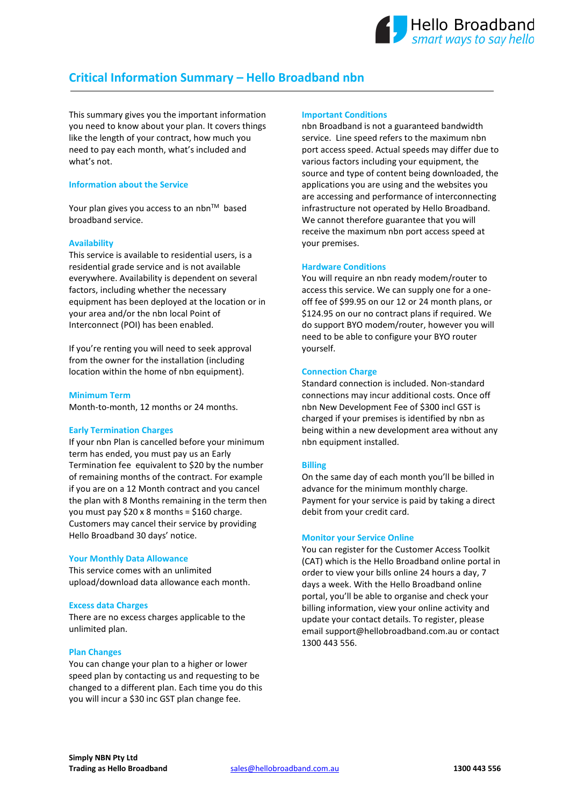# **Critical Information Summary – Hello Broadband nbn**

This summary gives you the important information you need to know about your plan. It covers things like the length of your contract, how much you need to pay each month, what's included and what's not.

## **Information about the Service**

Your plan gives you access to an nbn<sup>TM</sup> based broadband service.

## **Availability**

This service is available to residential users, is a residential grade service and is not available everywhere. Availability is dependent on several factors, including whether the necessary equipment has been deployed at the location or in your area and/or the nbn local Point of Interconnect (POI) has been enabled.

If you're renting you will need to seek approval from the owner for the installation (including location within the home of nbn equipment).

## **Minimum Term**

Month-to-month, 12 months or 24 months.

## **Early Termination Charges**

If your nbn Plan is cancelled before your minimum term has ended, you must pay us an Early Termination fee equivalent to \$20 by the number of remaining months of the contract. For example if you are on a 12 Month contract and you cancel the plan with 8 Months remaining in the term then you must pay \$20 x 8 months = \$160 charge. Customers may cancel their service by providing Hello Broadband 30 days' notice.

## **Your Monthly Data Allowance**

This service comes with an unlimited upload/download data allowance each month.

## **Excess data Charges**

There are no excess charges applicable to the unlimited plan.

## **Plan Changes**

You can change your plan to a higher or lower speed plan by contacting us and requesting to be changed to a different plan. Each time you do this you will incur a \$30 inc GST plan change fee.

#### **Important Conditions**

nbn Broadband is not a guaranteed bandwidth service. Line speed refers to the maximum nbn port access speed. Actual speeds may differ due to various factors including your equipment, the source and type of content being downloaded, the applications you are using and the websites you are accessing and performance of interconnecting infrastructure not operated by Hello Broadband. We cannot therefore guarantee that you will receive the maximum nbn port access speed at your premises.

## **Hardware Conditions**

You will require an nbn ready modem/router to access this service. We can supply one for a oneoff fee of \$99.95 on our 12 or 24 month plans, or \$124.95 on our no contract plans if required. We do support BYO modem/router, however you will need to be able to configure your BYO router yourself.

## **Connection Charge**

Standard connection is included. Non-standard connections may incur additional costs. Once off nbn New Development Fee of \$300 incl GST is charged if your premises is identified by nbn as being within a new development area without any nbn equipment installed.

## **Billing**

On the same day of each month you'll be billed in advance for the minimum monthly charge. Payment for your service is paid by taking a direct debit from your credit card.

## **Monitor your Service Online**

You can register for the Customer Access Toolkit (CAT) which is the Hello Broadband online portal in order to view your bills online 24 hours a day, 7 days a week. With the Hello Broadband online portal, you'll be able to organise and check your billing information, view your online activity and update your contact details. To register, please email [support@hellobroadband.com.au](mailto:support@hellobroadband.com.au) or contact 1300 443 556.